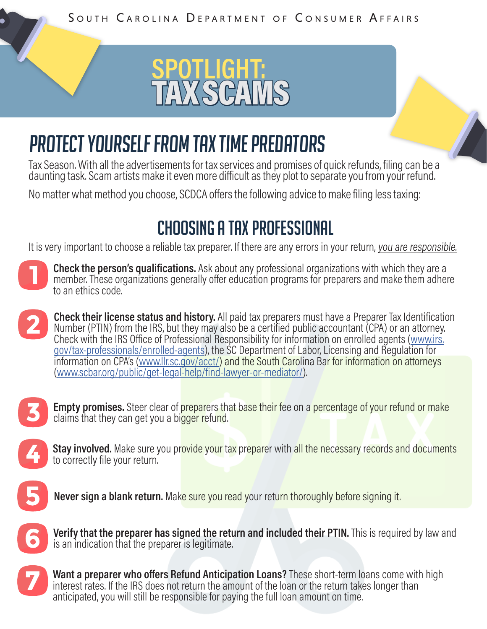

## PROTECT YOURSELF FROM TAX TIME PREDATORS

Tax Season. With all the advertisements for tax services and promises of quick refunds, filing can be a daunting task. Scam artists make it even more difficult as they plot to separate you from your refund.

No matter what method you choose, SCDCA offers the following advice to make filing less taxing:

#### CHOOSING A TAX PROFESSIONAL

It is very important to choose a reliable tax preparer. If there are any errors in your return, you are responsible.



**Check the person's qualifications.** Ask about any professional organizations with which they are a member. These organizations generally offer education programs for preparers and make them adhere to an ethics code.

**Check their license status and history.** All paid tax preparers must have a Preparer Tax Identification Number (PTIN) from the IRS, but they may also be a certified public accountant (CPA) or an attorney. Check with the IRS Office of Professional Responsibility for information on enrolled agents [\(www.irs.](http://www.irs.gov/tax-professionals/enrolled-agents) [gov/tax-professionals/enrolled-agents](http://www.irs.gov/tax-professionals/enrolled-agents)), the SC Department of Labor, Licensing and Regulation for information on CPA's ([www.llr.sc.gov/acct/\)](http://www.llr.sc.gov/acct/) and the South Carolina Bar for information on attorneys ([www.scbar.org/public/get-legal-help/find-lawyer-or-mediator/\)](http://www.scbar.org/public/get-legal-help/find-lawyer-or-mediator/).



**Empty promises.** Steer clear of preparers that base their fee on a percentage of your refund or make claims that they can get you a bigger refund.



**Stay involved.** Make sure you provide your tax preparer with all the necessary records and documents to correctly file your return.



**Never sign a blank return.** Make sure you read your return thoroughly before signing it.



**Verify that the preparer has signed the return and included their PTIN.** This is required by law and is an indication that the preparer is legitimate.



**Want a preparer who offers Refund Anticipation Loans?** These short-term loans come with high interest rates. If the IRS does not return the amount of the loan or the return takes longer than anticipated, you will still be responsible for paying the full loan amount on time.